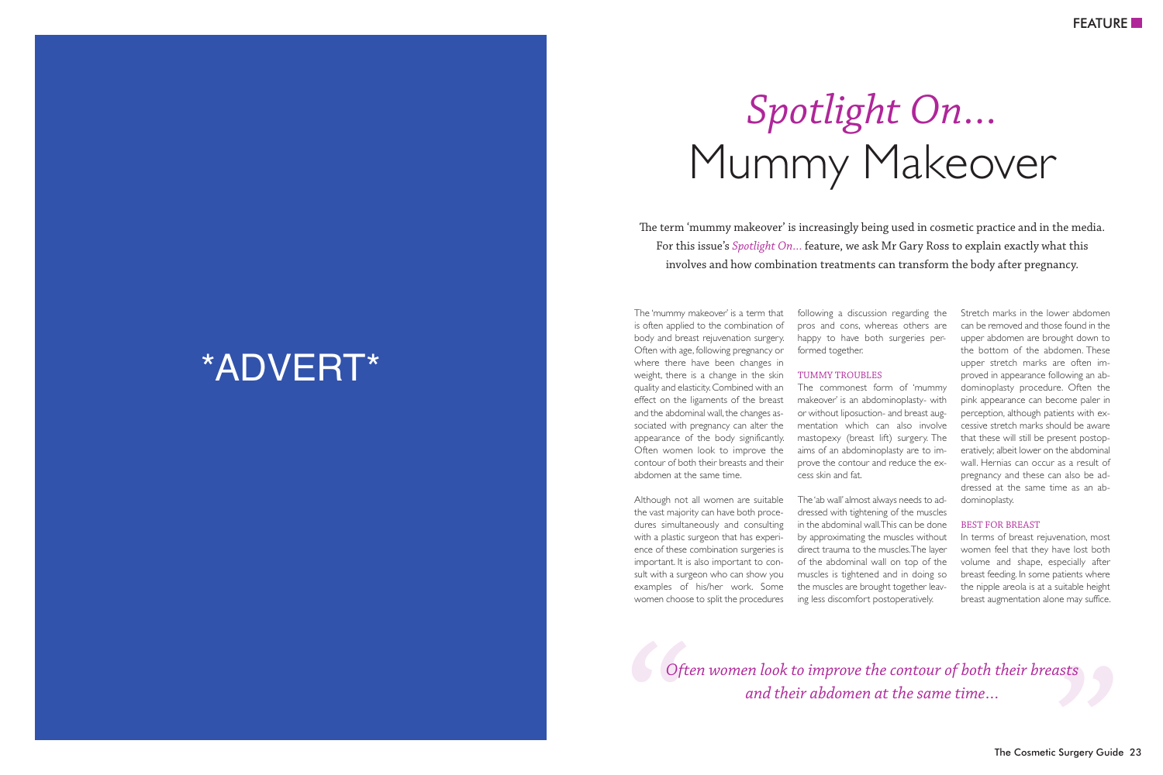## Mummy Makeover *Spotlight On…*

The term 'mummy makeover' is increasingly being used in cosmetic practice and in the media. For this issue's *Spotlight On…* feature, we ask Mr Gary Ross to explain exactly what this involves and how combination treatments can transform the body after pregnancy.

The 'mummy makeover' is a term that is often applied to the combination of body and breast rejuvenation surgery. Often with age, following pregnancy or where there have been changes in weight, there is a change in the skin quality and elasticity.Combined with an effect on the ligaments of the breast and the abdominal wall, the changes associated with pregnancy can alter the appearance of the body significantly. Often women look to improve the contour of both their breasts and their abdomen at the same time.

Although not all women are suitable the vast majority can have both procedures simultaneously and consulting with a plastic surgeon that has experience of these combination surgeries is important. It is also important to consult with a surgeon who can show you examples of his/her work. Some women choose to split the procedures

following a discussion regarding the pros and cons, whereas others are happy to have both surgeries performed together.

## TUMMY TROUBLES

The commonest form of 'mummy makeover' is an abdominoplasty- with or without liposuction- and breast augmentation which can also involve mastopexy (breast lift) surgery. The aims of an abdominoplasty are to improve the contour and reduce the excess skin and fat.

The 'ab wall' almost always needs to addressed with tightening of the muscles in the abdominal wall.This can be done by approximating the muscles without direct trauma to the muscles.The layer of the abdominal wall on top of the muscles is tightened and in doing so the muscles are brought together leaving less discomfort postoperatively.

Stretch marks in the lower abdomen can be removed and those found in the upper abdomen are brought down to the bottom of the abdomen. These upper stretch marks are often improved in appearance following an abdominoplasty procedure. Often the pink appearance can become paler in perception, although patients with excessive stretch marks should be aware that these will still be present postoperatively; albeit lower on the abdominal wall. Hernias can occur as a result of pregnancy and these can also be addressed at the same time as an abdominoplasty.

## BEST FOR BREAST

In terms of breast rejuvenation, most women feel that they have lost both volume and shape, especially after breast feeding. In some patients where the nipple areola is at a suitable height breast augmentation alone may suffice.

*C*  $\bigcirc$  *Often women look to improve the contour of both their breasts*<br>*and their abdomen at the same time*...<br>The Cosmetic Surgery Gu *and their abdomen at the same time…*

## \*ADVERT\*